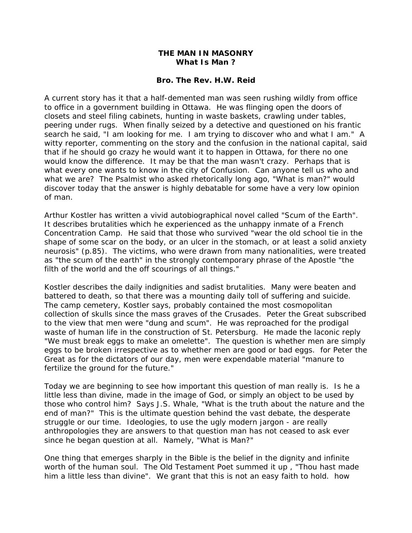## **THE MAN IN MASONRY What Is Man ?**

#### **Bro. The Rev. H.W. Reid**

A current story has it that a half-demented man was seen rushing wildly from office to office in a government building in Ottawa. He was flinging open the doors of closets and steel filing cabinets, hunting in waste baskets, crawling under tables, peering under rugs. When finally seized by a detective and questioned on his frantic search he said, "I am looking for me. I am trying to discover who and what I am." A witty reporter, commenting on the story and the confusion in the national capital, said that if he should go crazy he would want it to happen in Ottawa, for there no one would know the difference. It may be that the man wasn't crazy. Perhaps that is what every one wants to know in the city of Confusion. Can anyone tell us who and what we are? The Psalmist who asked rhetorically long ago, "What is man?" would discover today that the answer is highly debatable for some have a very low opinion of man.

Arthur Kostler has written a vivid autobiographical novel called "Scum of the Earth". It describes brutalities which he experienced as the unhappy inmate of a French Concentration Camp. He said that those who survived "wear the old school tie in the shape of some scar on the body, or an ulcer in the stomach, or at least a solid anxiety neurosis" (p.85). The victims, who were drawn from many nationalities, were treated as "the scum of the earth" in the strongly contemporary phrase of the Apostle "the filth of the world and the off scourings of all things."

Kostler describes the daily indignities and sadist brutalities. Many were beaten and battered to death, so that there was a mounting daily toll of suffering and suicide. The camp cemetery, Kostler says, probably contained the most cosmopolitan collection of skulls since the mass graves of the Crusades. Peter the Great subscribed to the view that men were "dung and scum". He was reproached for the prodigal waste of human life in the construction of St. Petersburg. He made the laconic reply "We must break eggs to make an omelette". The question is whether men are simply eggs to be broken irrespective as to whether men are good or bad eggs. for Peter the Great as for the dictators of our day, men were expendable material "manure to fertilize the ground for the future."

Today we are beginning to see how important this question of man really is. Is he a little less than divine, made in the image of God, or simply an object to be used by those who control him? Says J.S. Whale, "What is the truth about the nature and the end of man?" This is the ultimate question behind the vast debate, the desperate struggle or our time. Ideologies, to use the ugly modern jargon - are really anthropologies they are answers to that question man has not ceased to ask ever since he began question at all. Namely, "What is Man?"

One thing that emerges sharply in the Bible is the belief in the dignity and infinite worth of the human soul. The Old Testament Poet summed it up , "Thou hast made him a little less than divine". We grant that this is not an easy faith to hold. how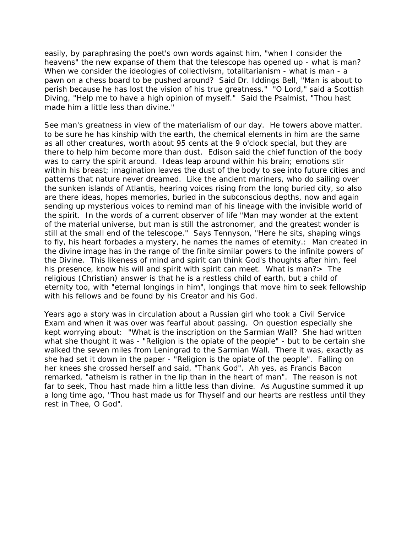easily, by paraphrasing the poet's own words against him, "when I consider the heavens" the new expanse of them that the telescope has opened up - what is man? When we consider the ideologies of collectivism, totalitarianism - what is man - a pawn on a chess board to be pushed around? Said Dr. Iddings Bell, "Man is about to perish because he has lost the vision of his true greatness." "O Lord," said a Scottish Diving, "Help me to have a high opinion of myself." Said the Psalmist, "Thou hast made him a little less than divine."

See man's greatness in view of the materialism of our day. He towers above matter. to be sure he has kinship with the earth, the chemical elements in him are the same as all other creatures, worth about 95 cents at the 9 o'clock special, but they are there to help him become more than dust. Edison said the chief function of the body was to carry the spirit around. Ideas leap around within his brain; emotions stir within his breast; imagination leaves the dust of the body to see into future cities and patterns that nature never dreamed. Like the ancient mariners, who do sailing over the sunken islands of Atlantis, hearing voices rising from the long buried city, so also are there ideas, hopes memories, buried in the subconscious depths, now and again sending up mysterious voices to remind man of his lineage with the invisible world of the spirit. In the words of a current observer of life "Man may wonder at the extent of the material universe, but man is still the astronomer, and the greatest wonder is still at the small end of the telescope." Says Tennyson, "Here he sits, shaping wings to fly, his heart forbades a mystery, he names the names of eternity.: Man created in the divine image has in the range of the finite similar powers to the infinite powers of the Divine. This likeness of mind and spirit can think God's thoughts after him, feel his presence, know his will and spirit with spirit can meet. What is man?> The religious (Christian) answer is that he is a restless child of earth, but a child of eternity too, with "eternal longings in him", longings that move him to seek fellowship with his fellows and be found by his Creator and his God.

Years ago a story was in circulation about a Russian girl who took a Civil Service Exam and when it was over was fearful about passing. On question especially she kept worrying about: "What is the inscription on the Sarmian Wall? She had written what she thought it was - "Religion is the opiate of the people" - but to be certain she walked the seven miles from Leningrad to the Sarmian Wall. There it was, exactly as she had set it down in the paper - "Religion is the opiate of the people". Falling on her knees she crossed herself and said, "Thank God". Ah yes, as Francis Bacon remarked, "atheism is rather in the lip than in the heart of man". The reason is not far to seek, Thou hast made him a little less than divine. As Augustine summed it up a long time ago, "Thou hast made us for Thyself and our hearts are restless until they rest in Thee, O God".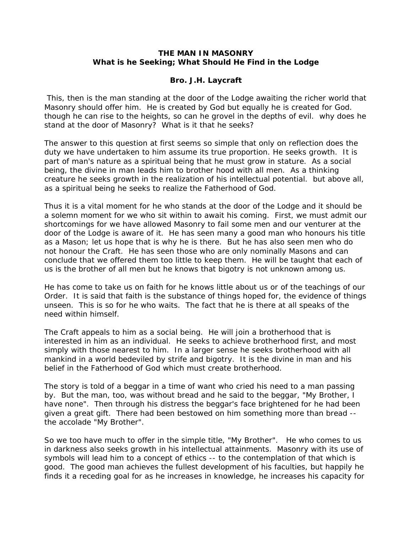# **THE MAN IN MASONRY What is he Seeking; What Should He Find in the Lodge**

# **Bro. J.H. Laycraft**

 This, then is the man standing at the door of the Lodge awaiting the richer world that Masonry should offer him. He is created by God but equally he is created for God. though he can rise to the heights, so can he grovel in the depths of evil. why does he stand at the door of Masonry? What is it that he seeks?

The answer to this question at first seems so simple that only on reflection does the duty we have undertaken to him assume its true proportion. He seeks growth. It is part of man's nature as a spiritual being that he must grow in stature. As a social being, the divine in man leads him to brother hood with all men. As a thinking creature he seeks growth in the realization of his intellectual potential. but above all, as a spiritual being he seeks to realize the Fatherhood of God.

Thus it is a vital moment for he who stands at the door of the Lodge and it should be a solemn moment for we who sit within to await his coming. First, we must admit our shortcomings for we have allowed Masonry to fail some men and our venturer at the door of the Lodge is aware of it. He has seen many a good man who honours his title as a Mason; let us hope that is why he is there. But he has also seen men who do not honour the Craft. He has seen those who are only nominally Masons and can conclude that we offered them too little to keep them. He will be taught that each of us is the brother of all men but he knows that bigotry is not unknown among us.

He has come to take us on faith for he knows little about us or of the teachings of our Order. It is said that faith is the substance of things hoped for, the evidence of things unseen. This is so for he who waits. The fact that he is there at all speaks of the need within himself.

The Craft appeals to him as a social being. He will join a brotherhood that is interested in him as an individual. He seeks to achieve brotherhood first, and most simply with those nearest to him. In a larger sense he seeks brotherhood with all mankind in a world bedeviled by strife and bigotry. It is the divine in man and his belief in the Fatherhood of God which must create brotherhood.

The story is told of a beggar in a time of want who cried his need to a man passing by. But the man, too, was without bread and he said to the beggar, "My Brother, I have none". Then through his distress the beggar's face brightened for he had been given a great gift. There had been bestowed on him something more than bread - the accolade "My Brother".

So we too have much to offer in the simple title, "My Brother". He who comes to us in darkness also seeks growth in his intellectual attainments. Masonry with its use of symbols will lead him to a concept of ethics -- to the contemplation of that which is good. The good man achieves the fullest development of his faculties, but happily he finds it a receding goal for as he increases in knowledge, he increases his capacity for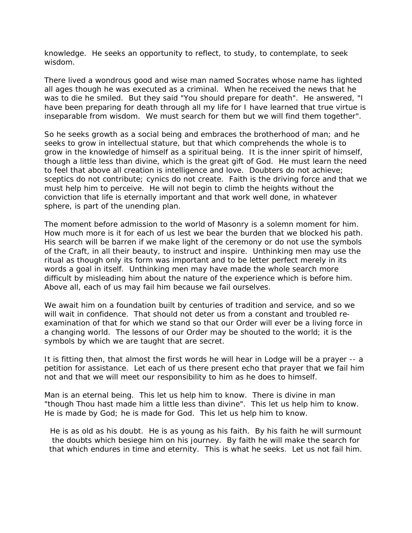knowledge. He seeks an opportunity to reflect, to study, to contemplate, to seek wisdom.

There lived a wondrous good and wise man named Socrates whose name has lighted all ages though he was executed as a criminal. When he received the news that he was to die he smiled. But they said "You should prepare for death". He answered, "I have been preparing for death through all my life for I have learned that true virtue is inseparable from wisdom. We must search for them but we will find them together".

So he seeks growth as a social being and embraces the brotherhood of man; and he seeks to grow in intellectual stature, but that which comprehends the whole is to grow in the knowledge of himself as a spiritual being. It is the inner spirit of himself, though a little less than divine, which is the great gift of God. He must learn the need to feel that above all creation is intelligence and love. Doubters do not achieve; sceptics do not contribute; cynics do not create. Faith is the driving force and that we must help him to perceive. He will not begin to climb the heights without the conviction that life is eternally important and that work well done, in whatever sphere, is part of the unending plan.

The moment before admission to the world of Masonry is a solemn moment for him. How much more is it for each of us lest we bear the burden that we blocked his path. His search will be barren if we make light of the ceremony or do not use the symbols of the Craft, in all their beauty, to instruct and inspire. Unthinking men may use the ritual as though only its form was important and to be letter perfect merely in its words a goal in itself. Unthinking men may have made the whole search more difficult by misleading him about the nature of the experience which is before him. Above all, each of us may fail him because we fail ourselves.

We await him on a foundation built by centuries of tradition and service, and so we will wait in confidence. That should not deter us from a constant and troubled reexamination of that for which we stand so that our Order will ever be a living force in a changing world. The lessons of our Order may be shouted to the world; it is the symbols by which we are taught that are secret.

It is fitting then, that almost the first words he will hear in Lodge will be a prayer -- a petition for assistance. Let each of us there present echo that prayer that we fail him not and that we will meet our responsibility to him as he does to himself.

Man is an eternal being. This let us help him to know. There is divine in man "though Thou hast made him a little less than divine". This let us help him to know. He is made by God; he is made for God. This let us help him to know.

He is as old as his doubt. He is as young as his faith. By his faith he will surmount the doubts which besiege him on his journey. By faith he will make the search for that which endures in time and eternity. This is what he seeks. Let us not fail him.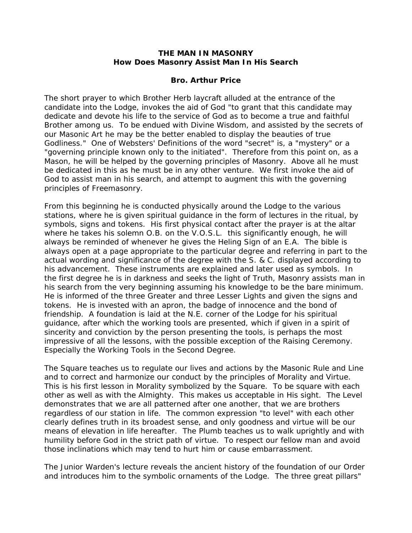### **THE MAN IN MASONRY How Does Masonry Assist Man In His Search**

#### **Bro. Arthur Price**

The short prayer to which Brother Herb laycraft alluded at the entrance of the candidate into the Lodge, invokes the aid of God "to grant that this candidate may dedicate and devote his life to the service of God as to become a true and faithful Brother among us. To be endued with Divine Wisdom, and assisted by the secrets of our Masonic Art he may be the better enabled to display the beauties of true Godliness." One of Websters' Definitions of the word "secret" is, a "mystery" or a "governing principle known only to the initiated". Therefore from this point on, as a Mason, he will be helped by the governing principles of Masonry. Above all he must be dedicated in this as he must be in any other venture. We first invoke the aid of God to assist man in his search, and attempt to augment this with the governing principles of Freemasonry.

From this beginning he is conducted physically around the Lodge to the various stations, where he is given spiritual guidance in the form of lectures in the ritual, by symbols, signs and tokens. His first physical contact after the prayer is at the altar where he takes his solemn O.B. on the V.O.S.L. this significantly enough, he will always be reminded of whenever he gives the Heling Sign of an E.A. The bible is always open at a page appropriate to the particular degree and referring in part to the actual wording and significance of the degree with the S. & C. displayed according to his advancement. These instruments are explained and later used as symbols. In the first degree he is in darkness and seeks the light of Truth, Masonry assists man in his search from the very beginning assuming his knowledge to be the bare minimum. He is informed of the three Greater and three Lesser Lights and given the signs and tokens. He is invested with an apron, the badge of innocence and the bond of friendship. A foundation is laid at the N.E. corner of the Lodge for his spiritual guidance, after which the working tools are presented, which if given in a spirit of sincerity and conviction by the person presenting the tools, is perhaps the most impressive of all the lessons, with the possible exception of the Raising Ceremony. Especially the Working Tools in the Second Degree.

The Square teaches us to regulate our lives and actions by the Masonic Rule and Line and to correct and harmonize our conduct by the principles of Morality and Virtue. This is his first lesson in Morality symbolized by the Square. To be square with each other as well as with the Almighty. This makes us acceptable in His sight. The Level demonstrates that we are all patterned after one another, that we are brothers regardless of our station in life. The common expression "to level" with each other clearly defines truth in its broadest sense, and only goodness and virtue will be our means of elevation in life hereafter. The Plumb teaches us to walk uprightly and with humility before God in the strict path of virtue. To respect our fellow man and avoid those inclinations which may tend to hurt him or cause embarrassment.

The Junior Warden's lecture reveals the ancient history of the foundation of our Order and introduces him to the symbolic ornaments of the Lodge. The three great pillars"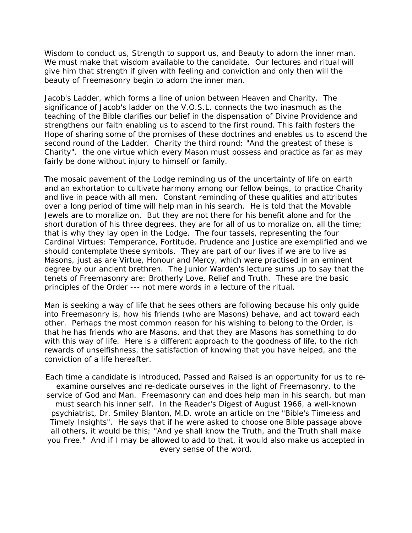Wisdom to conduct us, Strength to support us, and Beauty to adorn the inner man. We must make that wisdom available to the candidate. Our lectures and ritual will give him that strength if given with feeling and conviction and only then will the beauty of Freemasonry begin to adorn the inner man.

Jacob's Ladder, which forms a line of union between Heaven and Charity. The significance of Jacob's ladder on the V.O.S.L. connects the two inasmuch as the teaching of the Bible clarifies our belief in the dispensation of Divine Providence and strengthens our faith enabling us to ascend to the first round. This faith fosters the Hope of sharing some of the promises of these doctrines and enables us to ascend the second round of the Ladder. Charity the third round; "And the greatest of these is Charity". the one virtue which every Mason must possess and practice as far as may fairly be done without injury to himself or family.

The mosaic pavement of the Lodge reminding us of the uncertainty of life on earth and an exhortation to cultivate harmony among our fellow beings, to practice Charity and live in peace with all men. Constant reminding of these qualities and attributes over a long period of time will help man in his search. He is told that the Movable Jewels are to moralize on. But they are not there for his benefit alone and for the short duration of his three degrees, they are for all of us to moralize on, all the time; that is why they lay open in the Lodge. The four tassels, representing the four Cardinal Virtues: Temperance, Fortitude, Prudence and Justice are exemplified and we should contemplate these symbols. They are part of our lives if we are to live as Masons, just as are Virtue, Honour and Mercy, which were practised in an eminent degree by our ancient brethren. The Junior Warden's lecture sums up to say that the tenets of Freemasonry are: Brotherly Love, Relief and Truth. These are the basic principles of the Order --- not mere words in a lecture of the ritual.

Man is seeking a way of life that he sees others are following because his only guide into Freemasonry is, how his friends (who are Masons) behave, and act toward each other. Perhaps the most common reason for his wishing to belong to the Order, is that he has friends who are Masons, and that they are Masons has something to do with this way of life. Here is a different approach to the goodness of life, to the rich rewards of unselfishness, the satisfaction of knowing that you have helped, and the conviction of a life hereafter.

Each time a candidate is introduced, Passed and Raised is an opportunity for us to reexamine ourselves and re-dedicate ourselves in the light of Freemasonry, to the service of God and Man. Freemasonry can and does help man in his search, but man must search his inner self. In the Reader's Digest of August 1966, a well-known psychiatrist, Dr. Smiley Blanton, M.D. wrote an article on the "Bible's Timeless and Timely Insights". He says that if he were asked to choose one Bible passage above all others, it would be this; "And ye shall know the Truth, and the Truth shall make you Free." And if I may be allowed to add to that, it would also make us accepted in every sense of the word.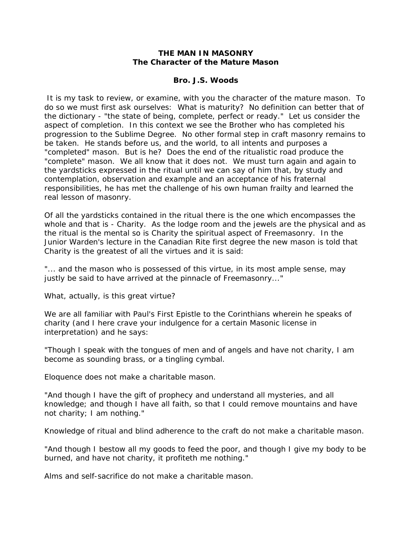### **THE MAN IN MASONRY The Character of the Mature Mason**

#### **Bro. J.S. Woods**

 It is my task to review, or examine, with you the character of the mature mason. To do so we must first ask ourselves: What is maturity? No definition can better that of the dictionary - "the state of being, complete, perfect or ready." Let us consider the aspect of completion. In this context we see the Brother who has completed his progression to the Sublime Degree. No other formal step in craft masonry remains to be taken. He stands before us, and the world, to all intents and purposes a "completed" mason. But is he? Does the end of the ritualistic road produce the "complete" mason. We all know that it does not. We must turn again and again to the yardsticks expressed in the ritual until we can say of him that, by study and contemplation, observation and example and an acceptance of his fraternal responsibilities, he has met the challenge of his own human frailty and learned the real lesson of masonry.

Of all the yardsticks contained in the ritual there is the one which encompasses the whole and that is - Charity. As the lodge room and the jewels are the physical and as the ritual is the mental so is Charity the spiritual aspect of Freemasonry. In the Junior Warden's lecture in the Canadian Rite first degree the new mason is told that Charity is the greatest of all the virtues and it is said:

"... and the mason who is possessed of this virtue, in its most ample sense, may justly be said to have arrived at the pinnacle of Freemasonry..."

What, actually, is this great virtue?

We are all familiar with Paul's First Epistle to the Corinthians wherein he speaks of charity (and I here crave your indulgence for a certain Masonic license in interpretation) and he says:

"Though I speak with the tongues of men and of angels and have not charity, I am become as sounding brass, or a tingling cymbal.

Eloquence does not make a charitable mason.

"And though I have the gift of prophecy and understand all mysteries, and all knowledge; and though I have all faith, so that I could remove mountains and have not charity; I am nothing."

Knowledge of ritual and blind adherence to the craft do not make a charitable mason.

"And though I bestow all my goods to feed the poor, and though I give my body to be burned, and have not charity, it profiteth me nothing."

Alms and self-sacrifice do not make a charitable mason.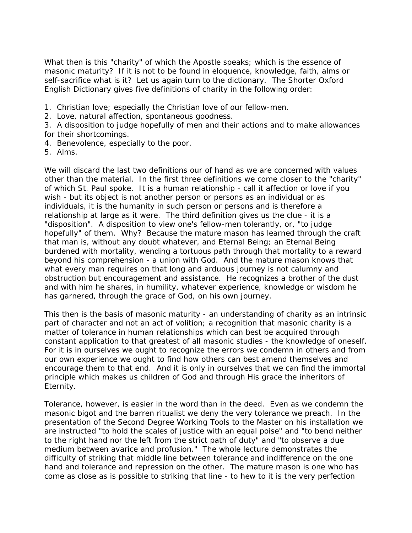What then is this "charity" of which the Apostle speaks; which is the essence of masonic maturity? If it is not to be found in eloquence, knowledge, faith, alms or self-sacrifice what is it? Let us again turn to the dictionary. The Shorter Oxford English Dictionary gives five definitions of charity in the following order:

- 1. Christian love; especially the Christian love of our fellow-men.
- 2. Love, natural affection, spontaneous goodness.
- 3. A disposition to judge hopefully of men and their actions and to make allowances for their shortcomings.
- 4. Benevolence, especially to the poor.
- 5. Alms.

We will discard the last two definitions our of hand as we are concerned with values other than the material. In the first three definitions we come closer to the "charity" of which St. Paul spoke. It is a human relationship - call it affection or love if you wish - but its object is not another person or persons as an individual or as individuals, it is the humanity in such person or persons and is therefore a relationship at large as it were. The third definition gives us the clue - it is a "disposition". A disposition to view one's fellow-men tolerantly, or, "to judge hopefully" of them. Why? Because the mature mason has learned through the craft that man is, without any doubt whatever, and Eternal Being; an Eternal Being burdened with mortality, wending a tortuous path through that mortality to a reward beyond his comprehension - a union with God. And the mature mason knows that what every man requires on that long and arduous journey is not calumny and obstruction but encouragement and assistance. He recognizes a brother of the dust and with him he shares, in humility, whatever experience, knowledge or wisdom he has garnered, through the grace of God, on his own journey.

This then is the basis of masonic maturity - an understanding of charity as an intrinsic part of character and not an act of volition; a recognition that masonic charity is a matter of tolerance in human relationships which can best be acquired through constant application to that greatest of all masonic studies - the knowledge of oneself. For it is in ourselves we ought to recognize the errors we condemn in others and from our own experience we ought to find how others can best amend themselves and encourage them to that end. And it is only in ourselves that we can find the immortal principle which makes us children of God and through His grace the inheritors of Eternity.

Tolerance, however, is easier in the word than in the deed. Even as we condemn the masonic bigot and the barren ritualist we deny the very tolerance we preach. In the presentation of the Second Degree Working Tools to the Master on his installation we are instructed "to hold the scales of justice with an equal poise" and "to bend neither to the right hand nor the left from the strict path of duty" and "to observe a due medium between avarice and profusion." The whole lecture demonstrates the difficulty of striking that middle line between tolerance and indifference on the one hand and tolerance and repression on the other. The mature mason is one who has come as close as is possible to striking that line - to hew to it is the very perfection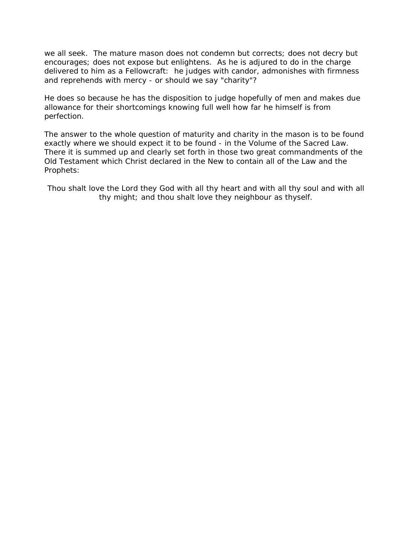we all seek. The mature mason does not condemn but corrects; does not decry but encourages; does not expose but enlightens. As he is adjured to do in the charge delivered to him as a Fellowcraft: he judges with candor, admonishes with firmness and reprehends with mercy - or should we say "charity"?

He does so because he has the disposition to judge hopefully of men and makes due allowance for their shortcomings knowing full well how far he himself is from perfection.

The answer to the whole question of maturity and charity in the mason is to be found exactly where we should expect it to be found - in the Volume of the Sacred Law. There it is summed up and clearly set forth in those two great commandments of the Old Testament which Christ declared in the New to contain all of the Law and the Prophets:

Thou shalt love the Lord they God with all thy heart and with all thy soul and with all thy might; and thou shalt love they neighbour as thyself.